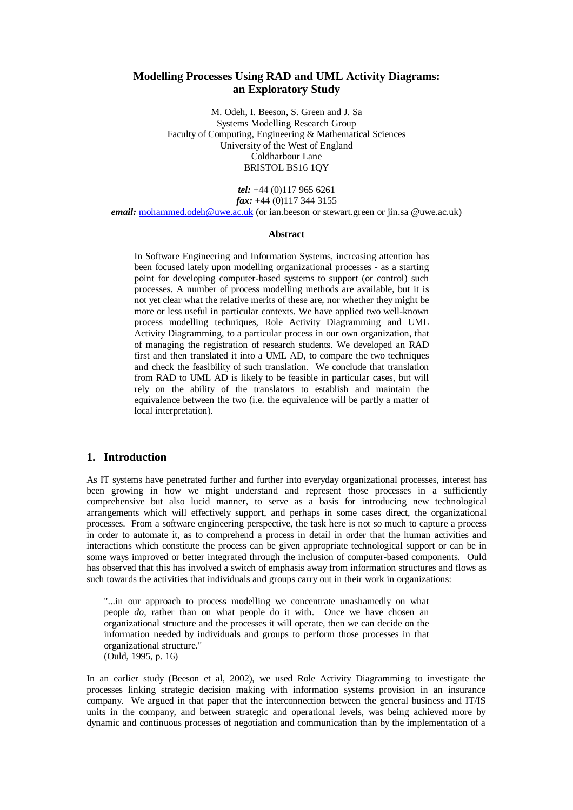# **Modelling Processes Using RAD and UML Activity Diagrams: an Exploratory Study**

M. Odeh, I. Beeson, S. Green and J. Sa Systems Modelling Research Group Faculty of Computing, Engineering & Mathematical Sciences University of the West of England Coldharbour Lane BRISTOL BS16 1QY

*tel:* +44 (0)117 965 6261 *fax:* +44 (0)117 344 3155 *email:* mohammed.odeh@uwe.ac.uk (or ian.beeson or stewart.green or jin.sa @uwe.ac.uk)

#### **Abstract**

In Software Engineering and Information Systems, increasing attention has been focused lately upon modelling organizational processes - as a starting point for developing computer-based systems to support (or control) such processes. A number of process modelling methods are available, but it is not yet clear what the relative merits of these are, nor whether they might be more or less useful in particular contexts. We have applied two well-known process modelling techniques, Role Activity Diagramming and UML Activity Diagramming, to a particular process in our own organization, that of managing the registration of research students. We developed an RAD first and then translated it into a UML AD, to compare the two techniques and check the feasibility of such translation. We conclude that translation from RAD to UML AD is likely to be feasible in particular cases, but will rely on the ability of the translators to establish and maintain the equivalence between the two (i.e. the equivalence will be partly a matter of local interpretation).

### **1. Introduction**

As IT systems have penetrated further and further into everyday organizational processes, interest has been growing in how we might understand and represent those processes in a sufficiently comprehensive but also lucid manner, to serve as a basis for introducing new technological arrangements which will effectively support, and perhaps in some cases direct, the organizational processes. From a software engineering perspective, the task here is not so much to capture a process in order to automate it, as to comprehend a process in detail in order that the human activities and interactions which constitute the process can be given appropriate technological support or can be in some ways improved or better integrated through the inclusion of computer-based components. Ould has observed that this has involved a switch of emphasis away from information structures and flows as such towards the activities that individuals and groups carry out in their work in organizations:

"...in our approach to process modelling we concentrate unashamedly on what people *do*, rather than on what people do it with. Once we have chosen an organizational structure and the processes it will operate, then we can decide on the information needed by individuals and groups to perform those processes in that organizational structure." (Ould, 1995, p. 16)

In an earlier study (Beeson et al, 2002), we used Role Activity Diagramming to investigate the processes linking strategic decision making with information systems provision in an insurance company. We argued in that paper that the interconnection between the general business and IT/IS units in the company, and between strategic and operational levels, was being achieved more by dynamic and continuous processes of negotiation and communication than by the implementation of a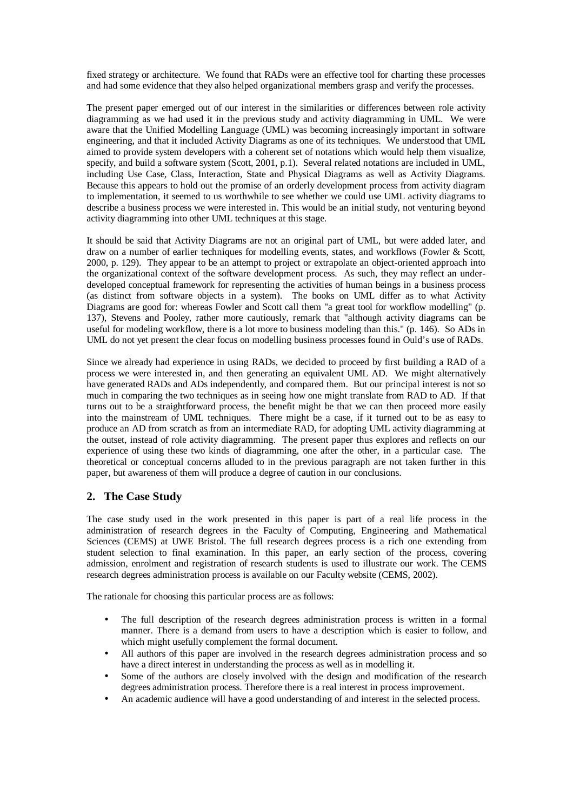fixed strategy or architecture. We found that RADs were an effective tool for charting these processes and had some evidence that they also helped organizational members grasp and verify the processes.

The present paper emerged out of our interest in the similarities or differences between role activity diagramming as we had used it in the previous study and activity diagramming in UML. We were aware that the Unified Modelling Language (UML) was becoming increasingly important in software engineering, and that it included Activity Diagrams as one of its techniques. We understood that UML aimed to provide system developers with a coherent set of notations which would help them visualize, specify, and build a software system (Scott, 2001, p.1). Several related notations are included in UML, including Use Case, Class, Interaction, State and Physical Diagrams as well as Activity Diagrams. Because this appears to hold out the promise of an orderly development process from activity diagram to implementation, it seemed to us worthwhile to see whether we could use UML activity diagrams to describe a business process we were interested in. This would be an initial study, not venturing beyond activity diagramming into other UML techniques at this stage.

It should be said that Activity Diagrams are not an original part of UML, but were added later, and draw on a number of earlier techniques for modelling events, states, and workflows (Fowler & Scott, 2000, p. 129). They appear to be an attempt to project or extrapolate an object-oriented approach into the organizational context of the software development process. As such, they may reflect an underdeveloped conceptual framework for representing the activities of human beings in a business process (as distinct from software objects in a system). The books on UML differ as to what Activity Diagrams are good for: whereas Fowler and Scott call them "a great tool for workflow modelling" (p. 137), Stevens and Pooley, rather more cautiously, remark that "although activity diagrams can be useful for modeling workflow, there is a lot more to business modeling than this." (p. 146). So ADs in UML do not yet present the clear focus on modelling business processes found in Ould's use of RADs.

Since we already had experience in using RADs, we decided to proceed by first building a RAD of a process we were interested in, and then generating an equivalent UML AD. We might alternatively have generated RADs and ADs independently, and compared them. But our principal interest is not so much in comparing the two techniques as in seeing how one might translate from RAD to AD. If that turns out to be a straightforward process, the benefit might be that we can then proceed more easily into the mainstream of UML techniques. There might be a case, if it turned out to be as easy to produce an AD from scratch as from an intermediate RAD, for adopting UML activity diagramming at the outset, instead of role activity diagramming. The present paper thus explores and reflects on our experience of using these two kinds of diagramming, one after the other, in a particular case. The theoretical or conceptual concerns alluded to in the previous paragraph are not taken further in this paper, but awareness of them will produce a degree of caution in our conclusions.

# **2. The Case Study**

The case study used in the work presented in this paper is part of a real life process in the administration of research degrees in the Faculty of Computing, Engineering and Mathematical Sciences (CEMS) at UWE Bristol. The full research degrees process is a rich one extending from student selection to final examination. In this paper, an early section of the process, covering admission, enrolment and registration of research students is used to illustrate our work. The CEMS research degrees administration process is available on our Faculty website (CEMS, 2002).

The rationale for choosing this particular process are as follows:

- The full description of the research degrees administration process is written in a formal manner. There is a demand from users to have a description which is easier to follow, and which might usefully complement the formal document.
- All authors of this paper are involved in the research degrees administration process and so have a direct interest in understanding the process as well as in modelling it.
- Some of the authors are closely involved with the design and modification of the research degrees administration process. Therefore there is a real interest in process improvement.
- An academic audience will have a good understanding of and interest in the selected process.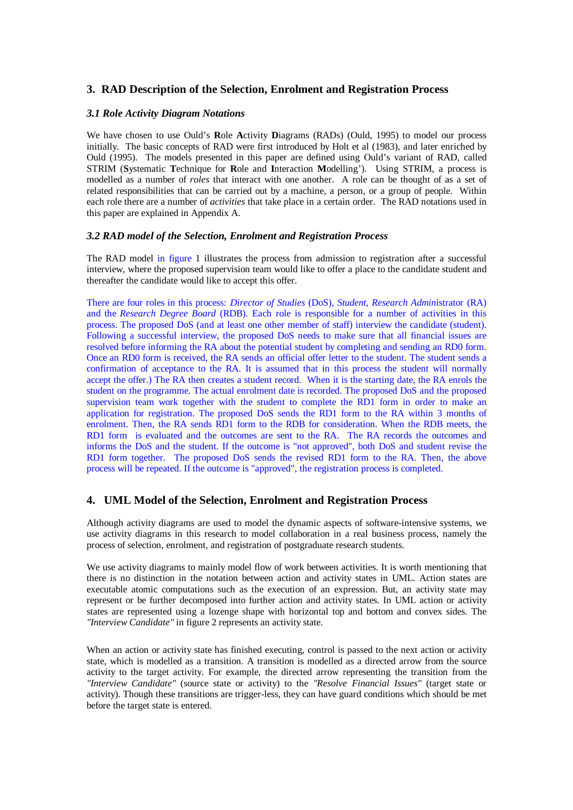# **3. RAD Description of the Selection, Enrolment and Registration Process**

#### *3.1 Role Activity Diagram Notations*

We have chosen to use Ould's **R**ole **A**ctivity **D**iagrams (RADs) (Ould, 1995) to model our process initially. The basic concepts of RAD were first introduced by Holt et al (1983), and later enriched by Ould (1995). The models presented in this paper are defined using Ould's variant of RAD, called STRIM (**S**ystematic **T**echnique for **R**ole and **I**nteraction **M**odelling'). Using STRIM, a process is modelled as a number of *roles* that interact with one another. A role can be thought of as a set of related responsibilities that can be carried out by a machine, a person, or a group of people. Within each role there are a number of *activities* that take place in a certain order. The RAD notations used in this paper are explained in Appendix A.

#### *3.2 RAD model of the Selection, Enrolment and Registration Process*

The RAD model in figure 1 illustrates the process from admission to registration after a successful interview, where the proposed supervision team would like to offer a place to the candidate student and thereafter the candidate would like to accept this offer.

There are four roles in this process: *Director of Studies* (DoS), *Student*, *Research Admin*istrator (RA) and the *Research Degree Board* (RDB). Each role is responsible for a number of activities in this process. The proposed DoS (and at least one other member of staff) interview the candidate (student). Following a successful interview, the proposed DoS needs to make sure that all financial issues are resolved before informing the RA about the potential student by completing and sending an RD0 form. Once an RD0 form is received, the RA sends an official offer letter to the student. The student sends a confirmation of acceptance to the RA. It is assumed that in this process the student will normally accept the offer.) The RA then creates a student record. When it is the starting date, the RA enrols the student on the programme. The actual enrolment date is recorded. The proposed DoS and the proposed supervision team work together with the student to complete the RD1 form in order to make an application for registration. The proposed DoS sends the RD1 form to the RA within 3 months of enrolment. Then, the RA sends RD1 form to the RDB for consideration. When the RDB meets, the RD1 form is evaluated and the outcomes are sent to the RA. The RA records the outcomes and informs the DoS and the student. If the outcome is "not approved", both DoS and student revise the RD1 form together. The proposed DoS sends the revised RD1 form to the RA. Then, the above process will be repeated. If the outcome is "approved", the registration process is completed.

## **4. UML Model of the Selection, Enrolment and Registration Process**

Although activity diagrams are used to model the dynamic aspects of software-intensive systems, we use activity diagrams in this research to model collaboration in a real business process, namely the process of selection, enrolment, and registration of postgraduate research students.

We use activity diagrams to mainly model flow of work between activities. It is worth mentioning that there is no distinction in the notation between action and activity states in UML. Action states are executable atomic computations such as the execution of an expression. But, an activity state may represent or be further decomposed into further action and activity states. In UML action or activity states are represented using a lozenge shape with horizontal top and bottom and convex sides. The *"Interview Candidate"* in figure 2 represents an activity state.

When an action or activity state has finished executing, control is passed to the next action or activity state, which is modelled as a transition. A transition is modelled as a directed arrow from the source activity to the target activity. For example, the directed arrow representing the transition from the *"Interview Candidate"* (source state or activity) to the *"Resolve Financial Issues"* (target state or activity). Though these transitions are trigger-less, they can have guard conditions which should be met before the target state is entered.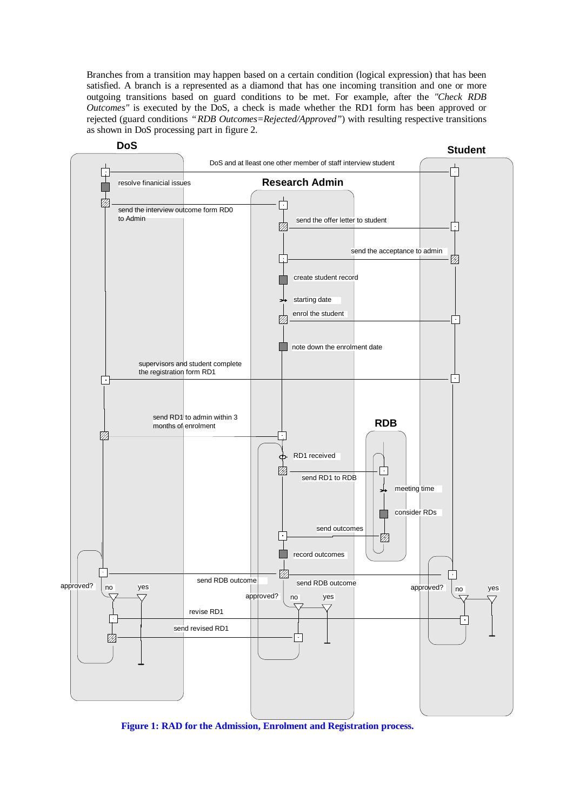Branches from a transition may happen based on a certain condition (logical expression) that has been satisfied. A branch is a represented as a diamond that has one incoming transition and one or more outgoing transitions based on guard conditions to be met. For example, after the *"Check RDB Outcomes"* is executed by the DoS, a check is made whether the RD1 form has been approved or rejected (guard conditions *"RDB Outcomes=Rejected/Approved"*) with resulting respective transitions as shown in DoS processing part in figure 2.



**Figure 1: RAD for the Admission, Enrolment and Registration process.**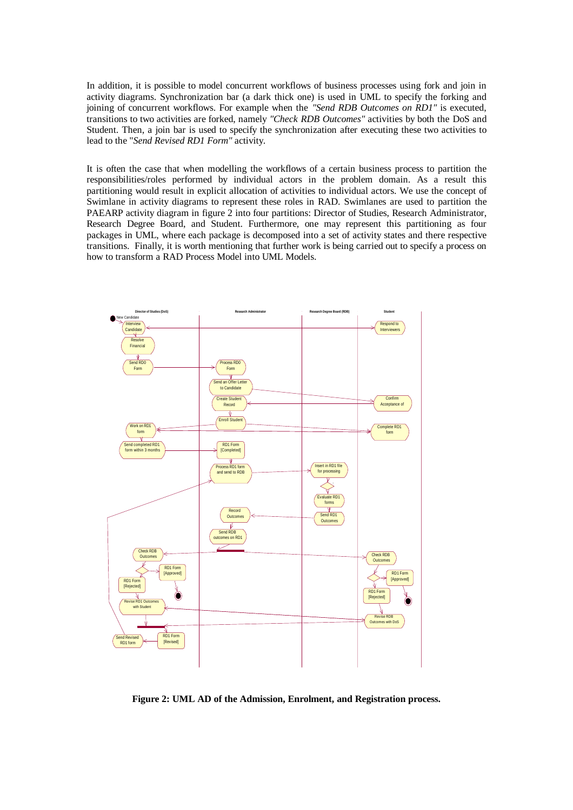In addition, it is possible to model concurrent workflows of business processes using fork and join in activity diagrams. Synchronization bar (a dark thick one) is used in UML to specify the forking and joining of concurrent workflows. For example when the *"Send RDB Outcomes on RD1"* is executed, transitions to two activities are forked, namely *"Check RDB Outcomes"* activities by both the DoS and Student. Then, a join bar is used to specify the synchronization after executing these two activities to lead to the "*Send Revised RD1 Form"* activity.

It is often the case that when modelling the workflows of a certain business process to partition the responsibilities/roles performed by individual actors in the problem domain. As a result this partitioning would result in explicit allocation of activities to individual actors. We use the concept of Swimlane in activity diagrams to represent these roles in RAD. Swimlanes are used to partition the PAEARP activity diagram in figure 2 into four partitions: Director of Studies, Research Administrator, Research Degree Board, and Student. Furthermore, one may represent this partitioning as four packages in UML, where each package is decomposed into a set of activity states and there respective transitions. Finally, it is worth mentioning that further work is being carried out to specify a process on how to transform a RAD Process Model into UML Models.



**Figure 2: UML AD of the Admission, Enrolment, and Registration process.**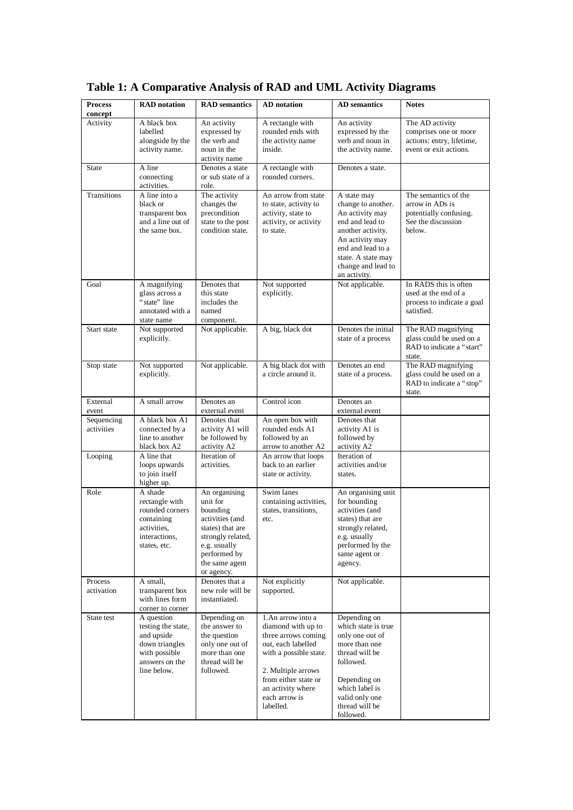| <b>Process</b><br>concept | <b>RAD</b> notation                                                                                                | <b>RAD</b> semantics                                                                                                                                              | <b>AD</b> notation                                                                                                                                                                                              | <b>AD</b> semantics                                                                                                                                                                              | <b>Notes</b>                                                                                      |
|---------------------------|--------------------------------------------------------------------------------------------------------------------|-------------------------------------------------------------------------------------------------------------------------------------------------------------------|-----------------------------------------------------------------------------------------------------------------------------------------------------------------------------------------------------------------|--------------------------------------------------------------------------------------------------------------------------------------------------------------------------------------------------|---------------------------------------------------------------------------------------------------|
| Activity                  | A black box<br>labelled<br>alongside by the<br>activity name.                                                      | An activity<br>expressed by<br>the verb and<br>noun in the<br>activity name                                                                                       | A rectangle with<br>rounded ends with<br>the activity name<br>inside.                                                                                                                                           | An activity<br>expressed by the<br>verb and noun in<br>the activity name.                                                                                                                        | The AD activity<br>comprises one or more<br>actions: entry, lifetime,<br>event or exit actions.   |
| <b>State</b>              | A line<br>connecting<br>activities.                                                                                | Denotes a state<br>or sub state of a<br>role.                                                                                                                     | A rectangle with<br>rounded corners.                                                                                                                                                                            | Denotes a state.                                                                                                                                                                                 |                                                                                                   |
| Transitions               | A line into a<br>black or<br>transparent box<br>and a line out of<br>the same box.                                 | The activity<br>changes the<br>precondition<br>state to the post<br>condition state.                                                                              | An arrow from state<br>to state, activity to<br>activity, state to<br>activity, or activity<br>to state.                                                                                                        | A state may<br>change to another.<br>An activity may<br>end and lead to<br>another activity.<br>An activity may<br>end and lead to a<br>state. A state may<br>change and lead to<br>an activity. | The semantics of the<br>arrow in ADs is<br>potentially confusing.<br>See the discussion<br>below. |
| Goal                      | A magnifying<br>glass across a<br>"state" line<br>annotated with a<br>state name                                   | Denotes that<br>this state<br>includes the<br>named<br>component.                                                                                                 | Not supported<br>explicitly.                                                                                                                                                                                    | Not applicable.                                                                                                                                                                                  | In RADS this is often<br>used at the end of a<br>process to indicate a goal<br>satisfied.         |
| Start state               | Not supported<br>explicitly.                                                                                       | Not applicable.                                                                                                                                                   | A big, black dot                                                                                                                                                                                                | Denotes the initial<br>state of a process                                                                                                                                                        | The RAD magnifying<br>glass could be used on a<br>RAD to indicate a "start"<br>state.             |
| Stop state                | Not supported<br>explicitly.                                                                                       | Not applicable.                                                                                                                                                   | A big black dot with<br>a circle around it.                                                                                                                                                                     | Denotes an end<br>state of a process.                                                                                                                                                            | The RAD magnifying<br>glass could be used on a<br>RAD to indicate a "stop"<br>state.              |
| External<br>event         | A small arrow                                                                                                      | Denotes an<br>external event                                                                                                                                      | Control icon                                                                                                                                                                                                    | Denotes an<br>external event                                                                                                                                                                     |                                                                                                   |
| Sequencing<br>activities  | A black box A1<br>connected by a<br>line to another<br>black box A2                                                | Denotes that<br>activity A1 will<br>be followed by<br>activity A2                                                                                                 | An open box with<br>rounded ends A1<br>followed by an<br>arrow to another A2                                                                                                                                    | Denotes that<br>activity A1 is<br>followed by<br>activity A2                                                                                                                                     |                                                                                                   |
| Looping                   | A line that<br>loops upwards<br>to join itself<br>higher up.                                                       | Iteration of<br>activities.                                                                                                                                       | An arrow that loops<br>back to an earlier<br>state or activity.                                                                                                                                                 | Iteration of<br>activities and/or<br>states.                                                                                                                                                     |                                                                                                   |
| Role                      | A shade<br>rectangle with<br>rounded corners<br>containing<br>activities,<br>interactions,<br>states, etc.         | An organising<br>unit for<br>bounding<br>activities (and<br>states) that are<br>strongly related,<br>e.g. usually<br>performed by<br>the same agent<br>or agency. | Swim lanes<br>containing activities,<br>states, transitions,<br>etc.                                                                                                                                            | An organising unit<br>for bounding<br>activities (and<br>states) that are<br>strongly related,<br>e.g. usually<br>performed by the<br>same agent or<br>agency.                                   |                                                                                                   |
| Process<br>activation     | A small,<br>transparent box<br>with lines form<br>corner to corner                                                 | Denotes that a<br>new role will be<br>instantiated.                                                                                                               | Not explicitly<br>supported.                                                                                                                                                                                    | Not applicable.                                                                                                                                                                                  |                                                                                                   |
| State test                | A question<br>testing the state,<br>and upside<br>down triangles<br>with possible<br>answers on the<br>line below. | Depending on<br>the answer to<br>the question<br>only one out of<br>more than one<br>thread will be<br>followed.                                                  | 1.An arrow into a<br>diamond with up to<br>three arrows coming<br>out, each labelled<br>with a possible state.<br>2. Multiple arrows<br>from either state or<br>an activity where<br>each arrow is<br>labelled. | Depending on<br>which state is true<br>only one out of<br>more than one<br>thread will be<br>followed.<br>Depending on<br>which label is<br>valid only one<br>thread will be<br>followed.        |                                                                                                   |

**Table 1: A Comparative Analysis of RAD and UML Activity Diagrams**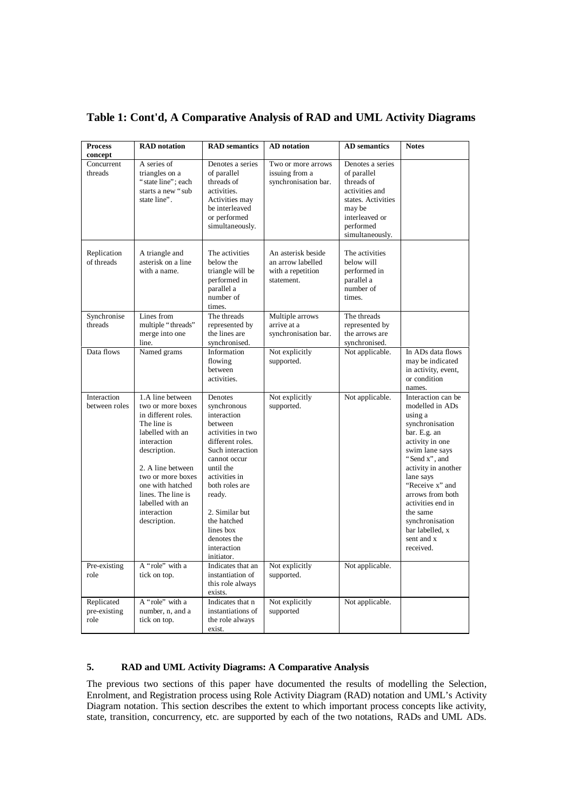| <b>Process</b><br>concept          | <b>RAD</b> notation                                                                                                                                                                                                                                                   | <b>RAD</b> semantics                                                                                                                                                                                                                                                              | <b>AD</b> notation                                                         | <b>AD</b> semantics                                                                                                                               | <b>Notes</b>                                                                                                                                                                                                                                                                                                           |
|------------------------------------|-----------------------------------------------------------------------------------------------------------------------------------------------------------------------------------------------------------------------------------------------------------------------|-----------------------------------------------------------------------------------------------------------------------------------------------------------------------------------------------------------------------------------------------------------------------------------|----------------------------------------------------------------------------|---------------------------------------------------------------------------------------------------------------------------------------------------|------------------------------------------------------------------------------------------------------------------------------------------------------------------------------------------------------------------------------------------------------------------------------------------------------------------------|
| Concurrent<br>threads              | A series of<br>triangles on a<br>"state line": each<br>starts a new "sub<br>state line".                                                                                                                                                                              | Denotes a series<br>of parallel<br>threads of<br>activities.<br>Activities may<br>be interleaved<br>or performed<br>simultaneously.                                                                                                                                               | Two or more arrows<br>issuing from a<br>synchronisation bar.               | Denotes a series<br>of parallel<br>threads of<br>activities and<br>states. Activities<br>may be<br>interleaved or<br>performed<br>simultaneously. |                                                                                                                                                                                                                                                                                                                        |
| Replication<br>of threads          | A triangle and<br>asterisk on a line<br>with a name.                                                                                                                                                                                                                  | The activities<br>below the<br>triangle will be<br>performed in<br>parallel a<br>number of<br>times.                                                                                                                                                                              | An asterisk beside<br>an arrow labelled<br>with a repetition<br>statement. | The activities<br>below will<br>performed in<br>parallel a<br>number of<br>times.                                                                 |                                                                                                                                                                                                                                                                                                                        |
| Synchronise<br>threads             | Lines from<br>multiple "threads"<br>merge into one<br>line.                                                                                                                                                                                                           | The threads<br>represented by<br>the lines are<br>synchronised.                                                                                                                                                                                                                   | Multiple arrows<br>arrive at a<br>synchronisation bar.                     | The threads<br>represented by<br>the arrows are<br>synchronised.                                                                                  |                                                                                                                                                                                                                                                                                                                        |
| Data flows                         | Named grams                                                                                                                                                                                                                                                           | Information<br>flowing<br>between<br>activities.                                                                                                                                                                                                                                  | Not explicitly<br>supported.                                               | Not applicable.                                                                                                                                   | In ADs data flows<br>may be indicated<br>in activity, event,<br>or condition<br>names.                                                                                                                                                                                                                                 |
| Interaction<br>between roles       | 1.A line between<br>two or more boxes<br>in different roles.<br>The line is<br>labelled with an<br>interaction<br>description.<br>2. A line between<br>two or more boxes<br>one with hatched<br>lines. The line is<br>labelled with an<br>interaction<br>description. | Denotes<br>synchronous<br>interaction<br>between<br>activities in two<br>different roles.<br>Such interaction<br>cannot occur<br>until the<br>activities in<br>both roles are<br>ready.<br>2. Similar but<br>the hatched<br>lines box<br>denotes the<br>interaction<br>initiator. | Not explicitly<br>supported.                                               | Not applicable.                                                                                                                                   | Interaction can be<br>modelled in ADs<br>using a<br>synchronisation<br>bar. E.g. an<br>activity in one<br>swim lane says<br>"Send x", and<br>activity in another<br>lane says<br>"Receive x" and<br>arrows from both<br>activities end in<br>the same<br>synchronisation<br>bar labelled, x<br>sent and x<br>received. |
| Pre-existing<br>role               | A "role" with a<br>tick on top.                                                                                                                                                                                                                                       | Indicates that an<br>instantiation of<br>this role always<br>exists.                                                                                                                                                                                                              | Not explicitly<br>supported.                                               | Not applicable.                                                                                                                                   |                                                                                                                                                                                                                                                                                                                        |
| Replicated<br>pre-existing<br>role | A "role" with a<br>number, n, and a<br>tick on top.                                                                                                                                                                                                                   | Indicates that n<br>instantiations of<br>the role always<br>exist.                                                                                                                                                                                                                | Not explicitly<br>supported                                                | Not applicable.                                                                                                                                   |                                                                                                                                                                                                                                                                                                                        |

# **Table 1: Cont'd, A Comparative Analysis of RAD and UML Activity Diagrams**

### **5. RAD and UML Activity Diagrams: A Comparative Analysis**

The previous two sections of this paper have documented the results of modelling the Selection, Enrolment, and Registration process using Role Activity Diagram (RAD) notation and UML's Activity Diagram notation. This section describes the extent to which important process concepts like activity, state, transition, concurrency, etc. are supported by each of the two notations, RADs and UML ADs.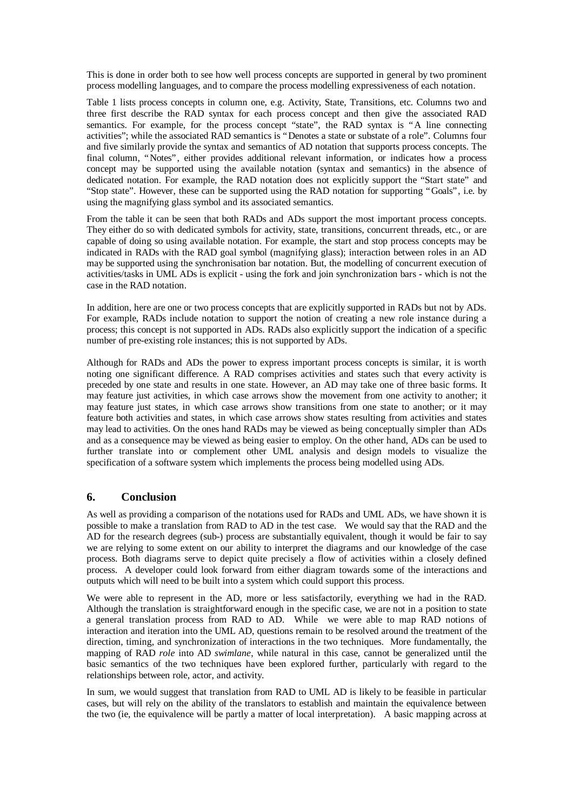This is done in order both to see how well process concepts are supported in general by two prominent process modelling languages, and to compare the process modelling expressiveness of each notation.

Table 1 lists process concepts in column one, e.g. Activity, State, Transitions, etc. Columns two and three first describe the RAD syntax for each process concept and then give the associated RAD semantics. For example, for the process concept "state", the RAD syntax is "A line connecting activities"; while the associated RAD semantics is "Denotes a state or substate of a role". Columns four and five similarly provide the syntax and semantics of AD notation that supports process concepts. The final column, "Notes", either provides additional relevant information, or indicates how a process concept may be supported using the available notation (syntax and semantics) in the absence of dedicated notation. For example, the RAD notation does not explicitly support the "Start state" and "Stop state". However, these can be supported using the RAD notation for supporting "Goals", i.e. by using the magnifying glass symbol and its associated semantics.

From the table it can be seen that both RADs and ADs support the most important process concepts. They either do so with dedicated symbols for activity, state, transitions, concurrent threads, etc., or are capable of doing so using available notation. For example, the start and stop process concepts may be indicated in RADs with the RAD goal symbol (magnifying glass); interaction between roles in an AD may be supported using the synchronisation bar notation. But, the modelling of concurrent execution of activities/tasks in UML ADs is explicit - using the fork and join synchronization bars - which is not the case in the RAD notation.

In addition, here are one or two process concepts that are explicitly supported in RADs but not by ADs. For example, RADs include notation to support the notion of creating a new role instance during a process; this concept is not supported in ADs. RADs also explicitly support the indication of a specific number of pre-existing role instances; this is not supported by ADs.

Although for RADs and ADs the power to express important process concepts is similar, it is worth noting one significant difference. A RAD comprises activities and states such that every activity is preceded by one state and results in one state. However, an AD may take one of three basic forms. It may feature just activities, in which case arrows show the movement from one activity to another; it may feature just states, in which case arrows show transitions from one state to another; or it may feature both activities and states, in which case arrows show states resulting from activities and states may lead to activities. On the ones hand RADs may be viewed as being conceptually simpler than ADs and as a consequence may be viewed as being easier to employ. On the other hand, ADs can be used to further translate into or complement other UML analysis and design models to visualize the specification of a software system which implements the process being modelled using ADs.

## **6. Conclusion**

As well as providing a comparison of the notations used for RADs and UML ADs, we have shown it is possible to make a translation from RAD to AD in the test case. We would say that the RAD and the AD for the research degrees (sub-) process are substantially equivalent, though it would be fair to say we are relying to some extent on our ability to interpret the diagrams and our knowledge of the case process. Both diagrams serve to depict quite precisely a flow of activities within a closely defined process. A developer could look forward from either diagram towards some of the interactions and outputs which will need to be built into a system which could support this process.

We were able to represent in the AD, more or less satisfactorily, everything we had in the RAD. Although the translation is straightforward enough in the specific case, we are not in a position to state a general translation process from RAD to AD. While we were able to map RAD notions of interaction and iteration into the UML AD, questions remain to be resolved around the treatment of the direction, timing, and synchronization of interactions in the two techniques. More fundamentally, the mapping of RAD *role* into AD *swimlane*, while natural in this case, cannot be generalized until the basic semantics of the two techniques have been explored further, particularly with regard to the relationships between role, actor, and activity.

In sum, we would suggest that translation from RAD to UML AD is likely to be feasible in particular cases, but will rely on the ability of the translators to establish and maintain the equivalence between the two (ie, the equivalence will be partly a matter of local interpretation). A basic mapping across at